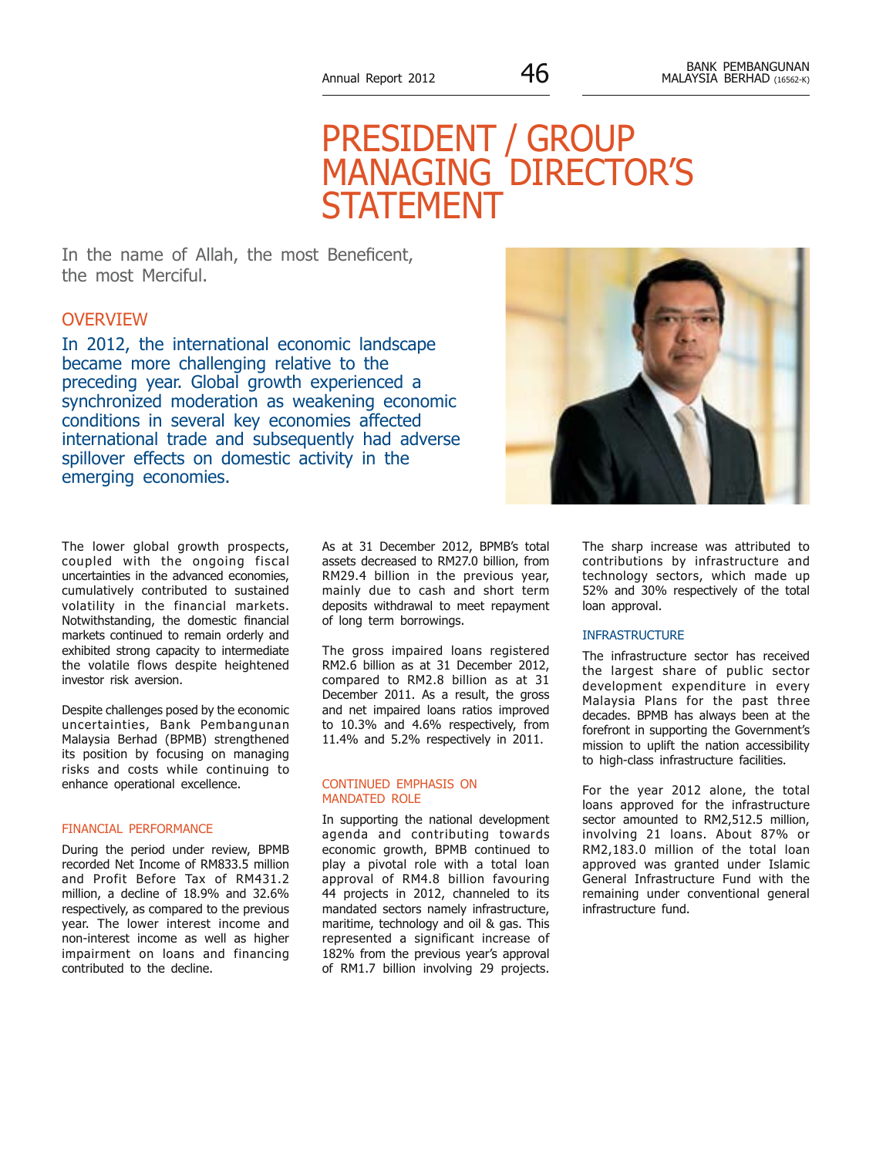# PRESIDENT / GROUP MANAGING DIRECTOR'S STATEME

In the name of Allah, the most Beneficent, the most Merciful.

## **OVERVIEW**

In 2012, the international economic landscape became more challenging relative to the preceding year. Global growth experienced a synchronized moderation as weakening economic conditions in several key economies affected international trade and subsequently had adverse spillover effects on domestic activity in the emerging economies.



The lower global growth prospects, coupled with the ongoing fiscal uncertainties in the advanced economies, cumulatively contributed to sustained volatility in the financial markets. Notwithstanding, the domestic financial markets continued to remain orderly and exhibited strong capacity to intermediate the volatile flows despite heightened investor risk aversion.

Despite challenges posed by the economic uncertainties, Bank Pembangunan Malaysia Berhad (BPMB) strengthened its position by focusing on managing risks and costs while continuing to enhance operational excellence.

#### FINANCIAL PERFORMANCE

During the period under review, BPMB recorded Net Income of RM833.5 million and Profit Before Tax of RM431.2 million, a decline of 18.9% and 32.6% respectively, as compared to the previous year. The lower interest income and non-interest income as well as higher impairment on loans and financing contributed to the decline.

As at 31 December 2012, BPMB's total assets decreased to RM27.0 billion, from RM29.4 billion in the previous year, mainly due to cash and short term deposits withdrawal to meet repayment of long term borrowings.

The gross impaired loans registered RM2.6 billion as at 31 December 2012, compared to RM2.8 billion as at 31 December 2011. As a result, the gross and net impaired loans ratios improved to 10.3% and 4.6% respectively, from 11.4% and 5.2% respectively in 2011.

#### CONTINUED EMPHASIS ON MANDATED ROLE

In supporting the national development agenda and contributing towards economic growth, BPMB continued to play a pivotal role with a total loan approval of RM4.8 billion favouring 44 projects in 2012, channeled to its mandated sectors namely infrastructure, maritime, technology and oil & gas. This represented a significant increase of 182% from the previous year's approval of RM1.7 billion involving 29 projects.

The sharp increase was attributed to contributions by infrastructure and technology sectors, which made up 52% and 30% respectively of the total loan approval.

#### **INFRASTRUCTURE**

The infrastructure sector has received the largest share of public sector development expenditure in every Malaysia Plans for the past three decades. BPMB has always been at the forefront in supporting the Government's mission to uplift the nation accessibility to high-class infrastructure facilities.

For the year 2012 alone, the total loans approved for the infrastructure sector amounted to RM2,512.5 million, involving 21 loans. About 87% or RM2,183.0 million of the total loan approved was granted under Islamic General Infrastructure Fund with the remaining under conventional general infrastructure fund.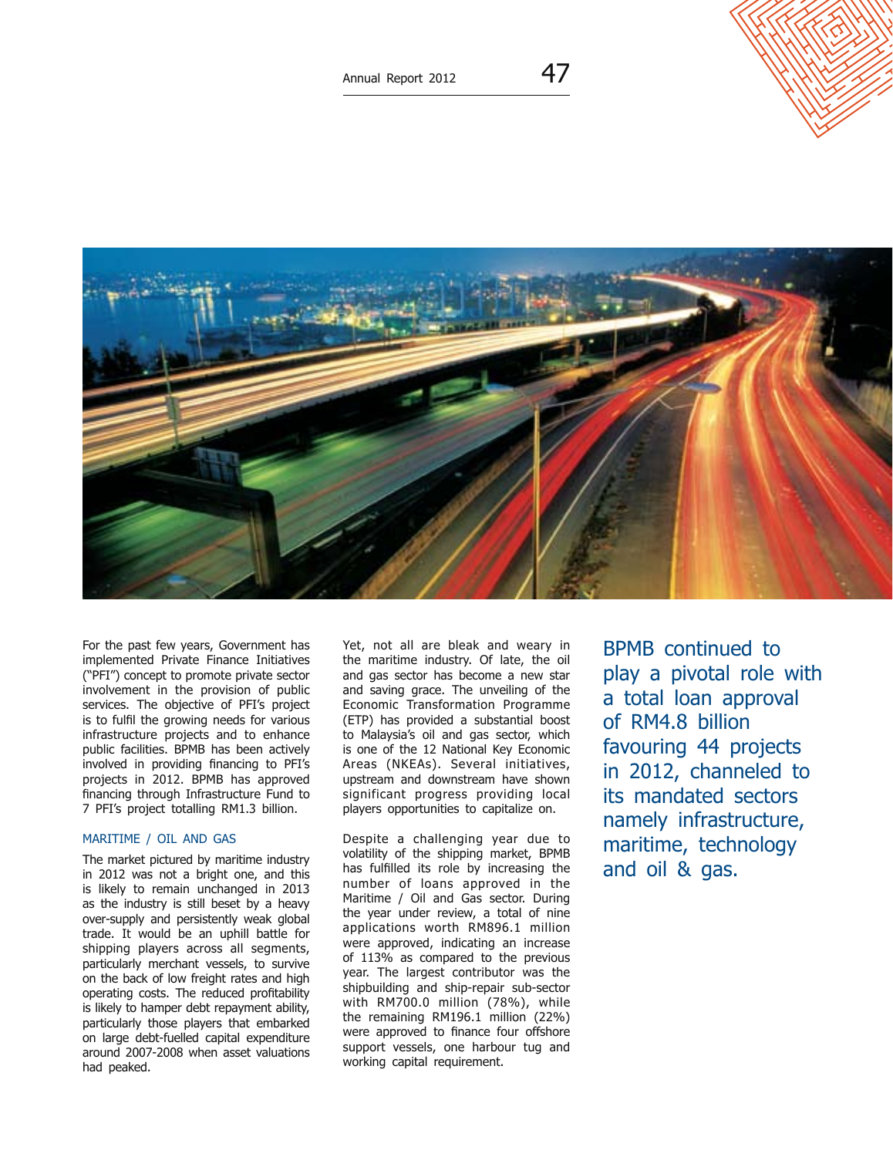

For the past few years, Government has implemented Private Finance Initiatives ("PFI") concept to promote private sector involvement in the provision of public services. The objective of PFI's project is to fulfil the growing needs for various infrastructure projects and to enhance public facilities. BPMB has been actively involved in providing financing to PFI's projects in 2012. BPMB has approved financing through Infrastructure Fund to 7 PFI's project totalling RM1.3 billion.

#### Maritime / Oil and Gas

The market pictured by maritime industry in 2012 was not a bright one, and this is likely to remain unchanged in 2013 as the industry is still beset by a heavy over-supply and persistently weak global trade. It would be an uphill battle for shipping players across all segments, particularly merchant vessels, to survive on the back of low freight rates and high operating costs. The reduced profitability is likely to hamper debt repayment ability, particularly those players that embarked on large debt-fuelled capital expenditure around 2007-2008 when asset valuations had peaked.

Yet, not all are bleak and weary in the maritime industry. Of late, the oil and gas sector has become a new star and saving grace. The unveiling of the Economic Transformation Programme (ETP) has provided a substantial boost to Malaysia's oil and gas sector, which is one of the 12 National Key Economic Areas (NKEAs). Several initiatives, upstream and downstream have shown significant progress providing local players opportunities to capitalize on.

Despite a challenging year due to volatility of the shipping market, BPMB has fulfilled its role by increasing the number of loans approved in the Maritime / Oil and Gas sector. During the year under review, a total of nine applications worth RM896.1 million were approved, indicating an increase of 113% as compared to the previous year. The largest contributor was the shipbuilding and ship-repair sub-sector with RM700.0 million (78%), while the remaining RM196.1 million (22%) were approved to finance four offshore support vessels, one harbour tug and working capital requirement.

BPMB continued to play a pivotal role with a total loan approval of RM4.8 billion favouring 44 projects in 2012, channeled to its mandated sectors namely infrastructure, maritime, technology and oil & gas.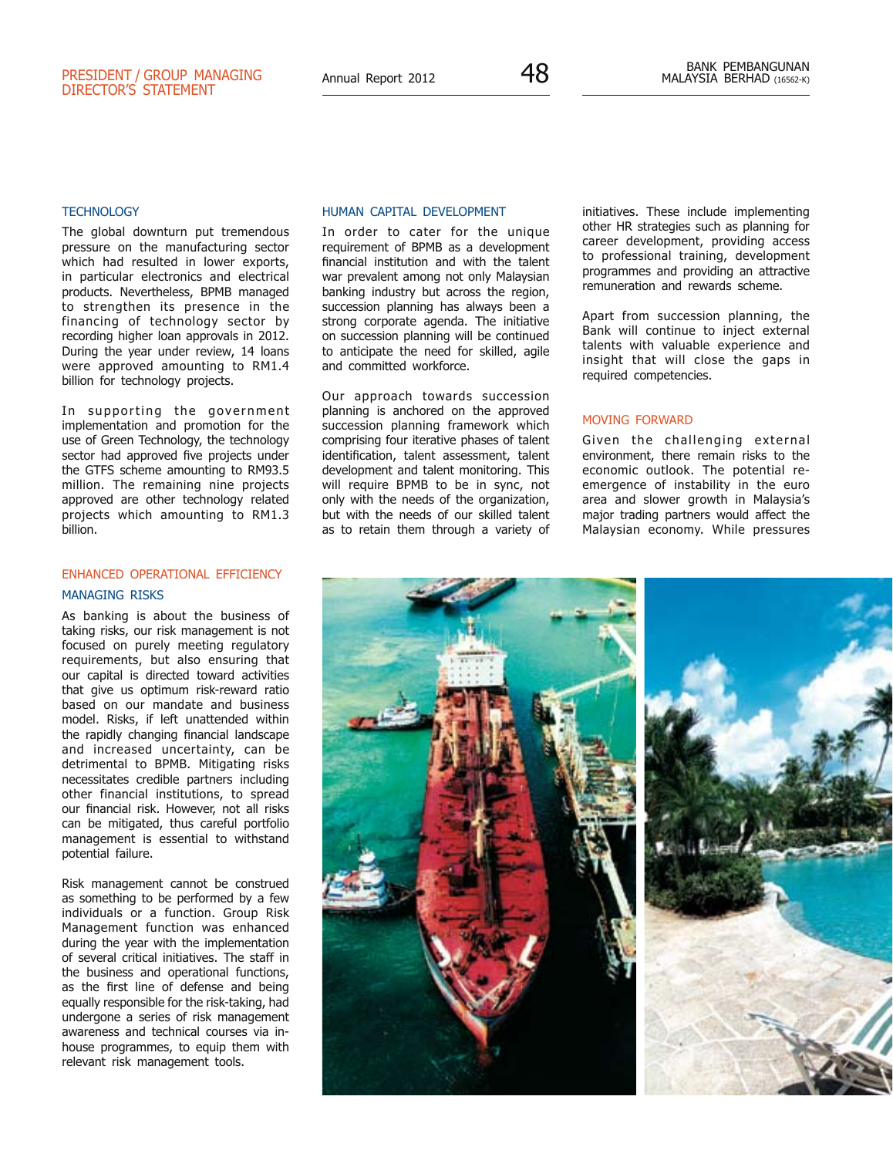#### **TECHNOLOGY**

The global downturn put tremendous pressure on the manufacturing sector which had resulted in lower exports, in particular electronics and electrical products. Nevertheless, BPMB managed to strengthen its presence in the financing of technology sector by recording higher loan approvals in 2012. During the year under review, 14 loans were approved amounting to RM1.4 billion for technology projects.

In supporting the government implementation and promotion for the use of Green Technology, the technology sector had approved five projects under the GTFS scheme amounting to RM93.5 million. The remaining nine projects approved are other technology related projects which amounting to RM1.3 billion.

### ENHANCED OPERATIONAL EFFICIENCY Managing Risks

As banking is about the business of taking risks, our risk management is not focused on purely meeting regulatory requirements, but also ensuring that our capital is directed toward activities that give us optimum risk-reward ratio based on our mandate and business model. Risks, if left unattended within the rapidly changing financial landscape and increased uncertainty, can be detrimental to BPMB. Mitigating risks necessitates credible partners including other financial institutions, to spread our financial risk. However, not all risks can be mitigated, thus careful portfolio management is essential to withstand potential failure.

Risk management cannot be construed as something to be performed by a few individuals or a function. Group Risk Management function was enhanced during the year with the implementation of several critical initiatives. The staff in the business and operational functions, as the first line of defense and being equally responsible for the risk-taking, had undergone a series of risk management awareness and technical courses via inhouse programmes, to equip them with relevant risk management tools.

#### Human Capital Development

In order to cater for the unique requirement of BPMB as a development financial institution and with the talent war prevalent among not only Malaysian banking industry but across the region, succession planning has always been a strong corporate agenda. The initiative on succession planning will be continued to anticipate the need for skilled, agile and committed workforce.

Our approach towards succession planning is anchored on the approved succession planning framework which comprising four iterative phases of talent identification, talent assessment, talent development and talent monitoring. This will require BPMB to be in sync, not only with the needs of the organization, but with the needs of our skilled talent as to retain them through a variety of initiatives. These include implementing other HR strategies such as planning for career development, providing access to professional training, development programmes and providing an attractive remuneration and rewards scheme.

Apart from succession planning, the Bank will continue to inject external talents with valuable experience and insight that will close the gaps in required competencies.

#### MOVING FORWARD

Given the challenging external environment, there remain risks to the economic outlook. The potential reemergence of instability in the euro area and slower growth in Malaysia's major trading partners would affect the Malaysian economy. While pressures